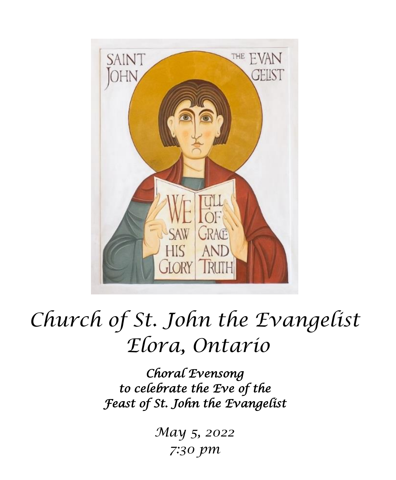

# *Church of St. John the Evangelist Elora, Ontario*

*Choral Evensong to celebrate the Eve of the Feast of St. John the Evangelist* 

> *May 5, 2022 7:30 pm*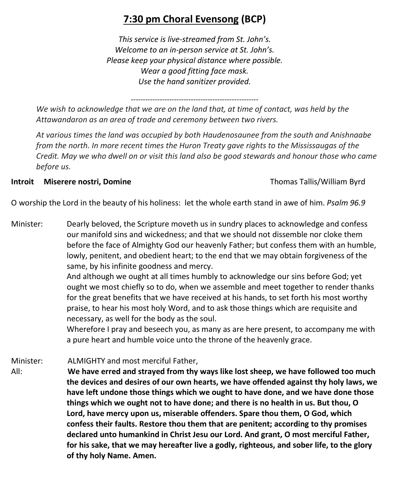# **7:30 pm Choral Evensong (BCP)**

*This service is live-streamed from St. John's. Welcome to an in-person service at St. John's. Please keep your physical distance where possible. Wear a good fitting face mask. Use the hand sanitizer provided.*

*----------------------------------------------------- We wish to acknowledge that we are on the land that, at time of contact, was held by the Attawandaron as an area of trade and ceremony between two rivers.*

*At various times the land was occupied by both Haudenosaunee from the south and Anishnaabe from the north. In more recent times the Huron Treaty gave rights to the Mississaugas of the Credit. May we who dwell on or visit this land also be good stewards and honour those who came before us.*

#### **Introit Miserere nostri, Domine** Thomas Tallis/William Byrd

O worship the Lord in the beauty of his holiness: let the whole earth stand in awe of him. *Psalm 96.9*

Minister: Dearly beloved, the Scripture moveth us in sundry places to acknowledge and confess our manifold sins and wickedness; and that we should not dissemble nor cloke them before the face of Almighty God our heavenly Father; but confess them with an humble, lowly, penitent, and obedient heart; to the end that we may obtain forgiveness of the same, by his infinite goodness and mercy.

> And although we ought at all times humbly to acknowledge our sins before God; yet ought we most chiefly so to do, when we assemble and meet together to render thanks for the great benefits that we have received at his hands, to set forth his most worthy praise, to hear his most holy Word, and to ask those things which are requisite and necessary, as well for the body as the soul.

> Wherefore I pray and beseech you, as many as are here present, to accompany me with a pure heart and humble voice unto the throne of the heavenly grace.

Minister: ALMIGHTY and most merciful Father, All: **We have erred and strayed from thy ways like lost sheep, we have followed too much the devices and desires of our own hearts, we have offended against thy holy laws, we have left undone those things which we ought to have done, and we have done those things which we ought not to have done; and there is no health in us. But thou, O Lord, have mercy upon us, miserable offenders. Spare thou them, O God, which confess their faults. Restore thou them that are penitent; according to thy promises declared unto humankind in Christ Jesu our Lord. And grant, O most merciful Father, for his sake, that we may hereafter live a godly, righteous, and sober life, to the glory of thy holy Name. Amen.**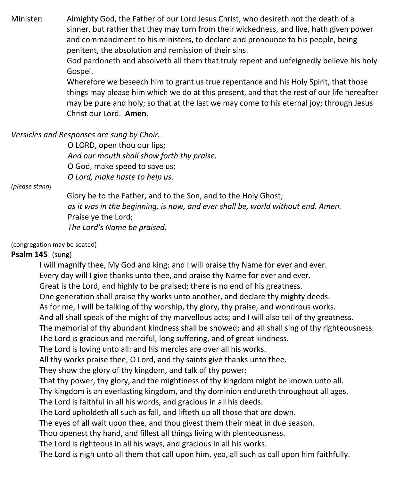Minister: Almighty God, the Father of our Lord Jesus Christ, who desireth not the death of a sinner, but rather that they may turn from their wickedness, and live, hath given power and commandment to his ministers, to declare and pronounce to his people, being penitent, the absolution and remission of their sins.

> God pardoneth and absolveth all them that truly repent and unfeignedly believe his holy Gospel.

> Wherefore we beseech him to grant us true repentance and his Holy Spirit, that those things may please him which we do at this present, and that the rest of our life hereafter may be pure and holy; so that at the last we may come to his eternal joy; through Jesus Christ our Lord. **Amen.**

#### *Versicles and Responses are sung by Choir.*

O LORD, open thou our lips; *And our mouth shall show forth thy praise.* O God, make speed to save us; *O Lord, make haste to help us.*

#### *(please stand)*

Glory be to the Father, and to the Son, and to the Holy Ghost; *as it was in the beginning, is now, and ever shall be, world without end. Amen.* Praise ye the Lord; *The Lord's Name be praised.*

(congregation may be seated)

#### **Psalm 145** (sung)

I will magnify thee, My God and king: and I will praise thy Name for ever and ever.

Every day will I give thanks unto thee, and praise thy Name for ever and ever.

Great is the Lord, and highly to be praised; there is no end of his greatness.

One generation shall praise thy works unto another, and declare thy mighty deeds.

As for me, I will be talking of thy worship, thy glory, thy praise, and wondrous works.

And all shall speak of the might of thy marvellous acts; and I will also tell of thy greatness.

The memorial of thy abundant kindness shall be showed; and all shall sing of thy righteousness.

The Lord is gracious and merciful, long suffering, and of great kindness.

The Lord is loving unto all: and his mercies are over all his works.

All thy works praise thee, O Lord, and thy saints give thanks unto thee.

They show the glory of thy kingdom, and talk of thy power;

That thy power, thy glory, and the mightiness of thy kingdom might be known unto all.

Thy kingdom is an everlasting kingdom, and thy dominion endureth throughout all ages.

The Lord is faithful in all his words, and gracious in all his deeds.

The Lord upholdeth all such as fall, and lifteth up all those that are down.

The eyes of all wait upon thee, and thou givest them their meat in due season.

Thou openest thy hand, and fillest all things living with plenteousness.

The Lord is righteous in all his ways, and gracious in all his works.

The Lord is nigh unto all them that call upon him, yea, all such as call upon him faithfully.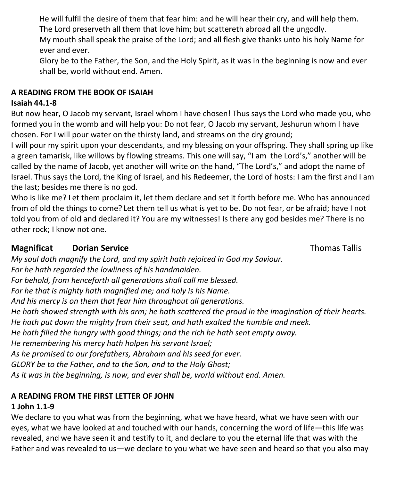He will fulfil the desire of them that fear him: and he will hear their cry, and will help them. The Lord preserveth all them that love him; but scattereth abroad all the ungodly.

My mouth shall speak the praise of the Lord; and all flesh give thanks unto his holy Name for ever and ever.

Glory be to the Father, the Son, and the Holy Spirit, as it was in the beginning is now and ever shall be, world without end. Amen.

## **A READING FROM THE BOOK OF ISAIAH**

## **Isaiah 44.1-8**

But now hear, O Jacob my servant, Israel whom I have chosen! Thus says the Lord who made you, who formed you in the womb and will help you: Do not fear, O Jacob my servant, Jeshurun whom I have chosen. For I will pour water on the thirsty land, and streams on the dry ground;

I will pour my spirit upon your descendants, and my blessing on your offspring. They shall spring up like a green tamarisk, like willows by flowing streams. This one will say, "I am the Lord's," another will be called by the name of Jacob, yet another will write on the hand, "The Lord's," and adopt the name of Israel. Thus says the Lord, the King of Israel, and his Redeemer, the Lord of hosts: I am the first and I am the last; besides me there is no god.

Who is like me? Let them proclaim it, let them declare and set it forth before me. Who has announced from of old the things to come? Let them tell us what is yet to be. Do not fear, or be afraid; have I not told you from of old and declared it? You are my witnesses! Is there any god besides me? There is no other rock; I know not one.

## **Magnificat Dorian Service** Thomas Tallis **Magnificat** Dorian Service **Thomas Tallis**

*My soul doth magnify the Lord, and my spirit hath rejoiced in God my Saviour. For he hath regarded the lowliness of his handmaiden. For behold, from henceforth all generations shall call me blessed. For he that is mighty hath magnified me; and holy is his Name. And his mercy is on them that fear him throughout all generations. He hath showed strength with his arm; he hath scattered the proud in the imagination of their hearts. He hath put down the mighty from their seat, and hath exalted the humble and meek. He hath filled the hungry with good things; and the rich he hath sent empty away. He remembering his mercy hath holpen his servant Israel; As he promised to our forefathers, Abraham and his seed for ever. GLORY be to the Father, and to the Son, and to the Holy Ghost; As it was in the beginning, is now, and ever shall be, world without end. Amen.*

## **A READING FROM THE FIRST LETTER OF JOHN**

## **1 John 1.1-9**

We declare to you what was from the beginning, what we have heard, what we have seen with our eyes, what we have looked at and touched with our hands, concerning the word of life—this life was revealed, and we have seen it and testify to it, and declare to you the eternal life that was with the Father and was revealed to us—we declare to you what we have seen and heard so that you also may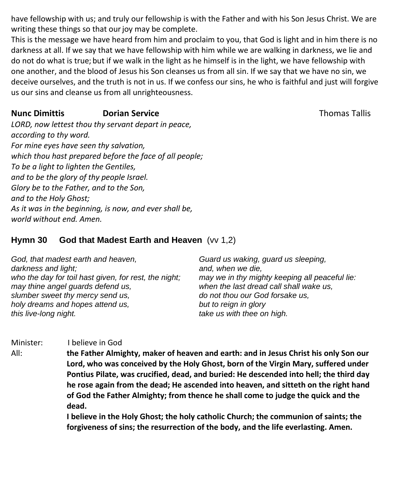have fellowship with us; and truly our fellowship is with the Father and with his Son Jesus Christ. We are writing these things so that our joy may be complete.

This is the message we have heard from him and proclaim to you, that God is light and in him there is no darkness at all. If we say that we have fellowship with him while we are walking in darkness, we lie and do not do what is true; but if we walk in the light as he himself is in the light, we have fellowship with one another, and the blood of Jesus his Son cleanses us from all sin. If we say that we have no sin, we deceive ourselves, and the truth is not in us. If we confess our sins, he who is faithful and just will forgive us our sins and cleanse us from all unrighteousness.

## **Nunc Dimittis Corresponding Dorian Service Corresponding Corresponding Thomas Tallis**

*LORD, now lettest thou thy servant depart in peace, according to thy word. For mine eyes have seen thy salvation, which thou hast prepared before the face of all people; To be a light to lighten the Gentiles, and to be the glory of thy people Israel. Glory be to the Father, and to the Son, and to the Holy Ghost; As it was in the beginning, is now, and ever shall be, world without end. Amen.*

## **Hymn 30 God that Madest Earth and Heaven** (vv 1,2)

| God, that madest earth and heaven,                    | Guard us waking, guard us sleeping,            |
|-------------------------------------------------------|------------------------------------------------|
| darkness and light;                                   | and, when we die,                              |
| who the day for toil hast given, for rest, the night; | may we in thy mighty keeping all peaceful lie: |
| may thine angel guards defend us,                     | when the last dread call shall wake us,        |
| slumber sweet thy mercy send us,                      | do not thou our God forsake us,                |
| holy dreams and hopes attend us,                      | but to reign in glory                          |
| this live-long night.                                 | take us with thee on high.                     |

Minister: I believe in God

All: **the Father Almighty, maker of heaven and earth: and in Jesus Christ his only Son our Lord, who was conceived by the Holy Ghost, born of the Virgin Mary, suffered under Pontius Pilate, was crucified, dead, and buried: He descended into hell; the third day he rose again from the dead; He ascended into heaven, and sitteth on the right hand of God the Father Almighty; from thence he shall come to judge the quick and the dead.**

> **I believe in the Holy Ghost; the holy catholic Church; the communion of saints; the forgiveness of sins; the resurrection of the body, and the life everlasting. Amen.**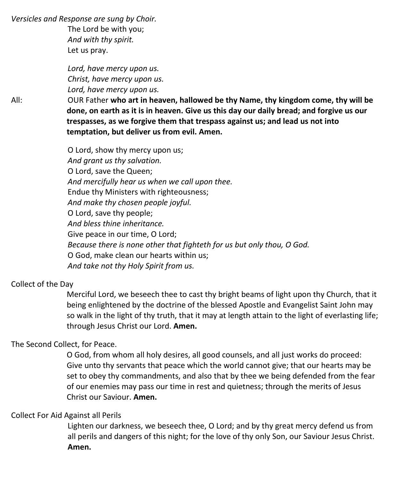*Versicles and Response are sung by Choir.*

The Lord be with you; *And with thy spirit.* Let us pray.

*Lord, have mercy upon us. Christ, have mercy upon us. Lord, have mercy upon us.*

All: OUR Father **who art in heaven, hallowed be thy Name, thy kingdom come, thy will be done, on earth as it is in heaven. Give us this day our daily bread; and forgive us our trespasses, as we forgive them that trespass against us; and lead us not into temptation, but deliver us from evil. Amen.**

> O Lord, show thy mercy upon us; *And grant us thy salvation.* O Lord, save the Queen; *And mercifully hear us when we call upon thee.* Endue thy Ministers with righteousness; *And make thy chosen people joyful.* O Lord, save thy people; *And bless thine inheritance.* Give peace in our time, O Lord; *Because there is none other that fighteth for us but only thou, O God.* O God, make clean our hearts within us; *And take not thy Holy Spirit from us.*

#### Collect of the Day

Merciful Lord, we beseech thee to cast thy bright beams of light upon thy Church, that it being enlightened by the doctrine of the blessed Apostle and Evangelist Saint John may so walk in the light of thy truth, that it may at length attain to the light of everlasting life; through Jesus Christ our Lord. **Amen.**

#### The Second Collect, for Peace.

O God, from whom all holy desires, all good counsels, and all just works do proceed: Give unto thy servants that peace which the world cannot give; that our hearts may be set to obey thy commandments, and also that by thee we being defended from the fear of our enemies may pass our time in rest and quietness; through the merits of Jesus Christ our Saviour. **Amen.**

#### Collect For Aid Against all Perils

Lighten our darkness, we beseech thee, O Lord; and by thy great mercy defend us from all perils and dangers of this night; for the love of thy only Son, our Saviour Jesus Christ. **Amen.**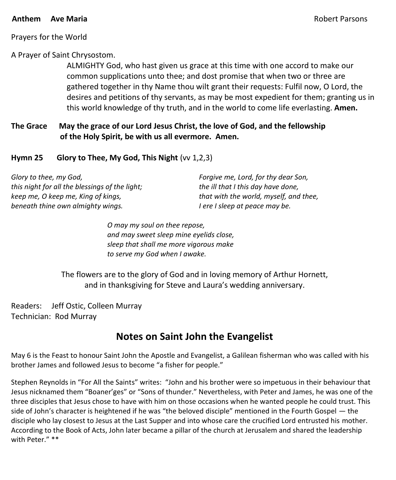#### **Anthem Ave Maria** Robert Parsons

#### Prayers for the World

#### A Prayer of Saint Chrysostom.

ALMIGHTY God, who hast given us grace at this time with one accord to make our common supplications unto thee; and dost promise that when two or three are gathered together in thy Name thou wilt grant their requests: Fulfil now, O Lord, the desires and petitions of thy servants, as may be most expedient for them; granting us in this world knowledge of thy truth, and in the world to come life everlasting. **Amen.**

#### **The Grace May the grace of our Lord Jesus Christ, the love of God, and the fellowship of the Holy Spirit, be with us all evermore. Amen.**

#### **Hymn 25 Glory to Thee, My God, This Night** (vv 1,2,3)

| Glory to thee, my God,                         | Forgive me, Lord, for thy dear Son,    |
|------------------------------------------------|----------------------------------------|
| this night for all the blessings of the light; | the ill that I this day have done,     |
| keep me, O keep me, King of kings,             | that with the world, myself, and thee, |
| beneath thine own almighty wings.              | I ere I sleep at peace may be.         |

*O may my soul on thee repose, and may sweet sleep mine eyelids close, sleep that shall me more vigorous make to serve my God when I awake.*

The flowers are to the glory of God and in loving memory of Arthur Hornett, and in thanksgiving for Steve and Laura's wedding anniversary.

Readers: Jeff Ostic, Colleen Murray Technician: Rod Murray

## **Notes on Saint John the Evangelist**

May 6 is the Feast to honour Saint John the Apostle and Evangelist, a Galilean fisherman who was called with his brother James and followed Jesus to become "a fisher for people."

Stephen Reynolds in "For All the Saints" writes: "John and his brother were so impetuous in their behaviour that Jesus nicknamed them "Boaner'ges" or "Sons of thunder." Nevertheless, with Peter and James, he was one of the three disciples that Jesus chose to have with him on those occasions when he wanted people he could trust. This side of John's character is heightened if he was "the beloved disciple" mentioned in the Fourth Gospel — the disciple who lay closest to Jesus at the Last Supper and into whose care the crucified Lord entrusted his mother. According to the Book of Acts, John later became a pillar of the church at Jerusalem and shared the leadership with Peter." \*\*